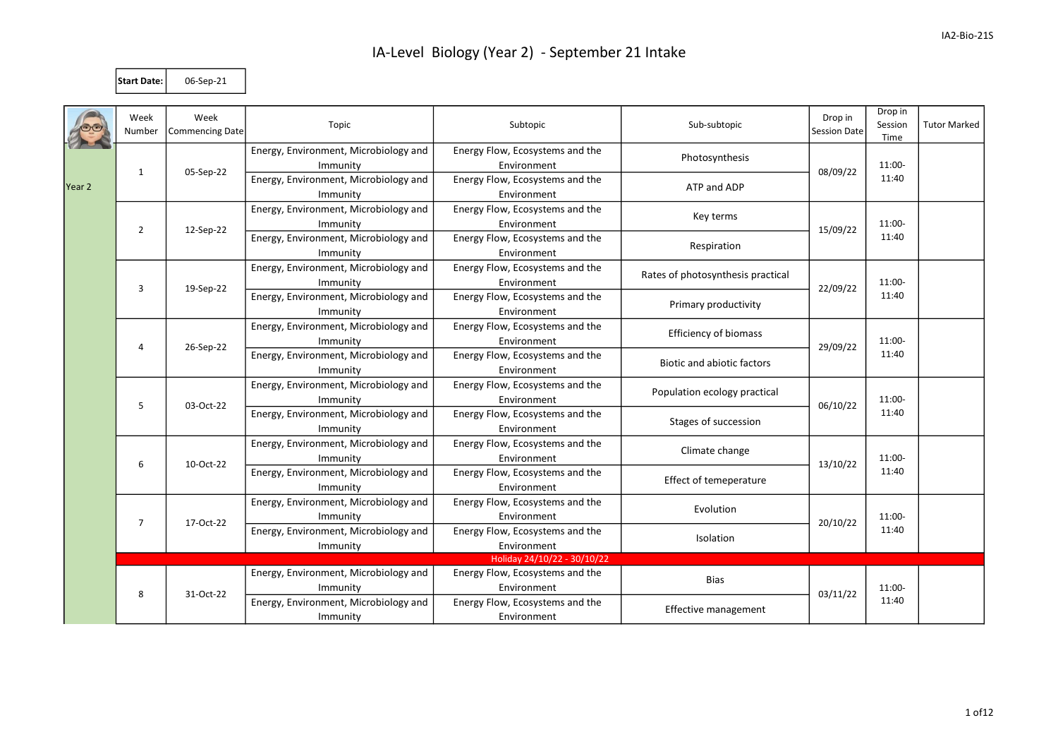Start Date: 06-Sep-21

|        | Week<br>Number | Week<br>Commencing Date | Topic                                 | Subtopic                        | Sub-subtopic                        | Drop in<br>Session Date | Drop in<br>Session<br>Time | <b>Tutor Marked</b> |
|--------|----------------|-------------------------|---------------------------------------|---------------------------------|-------------------------------------|-------------------------|----------------------------|---------------------|
| Year 2 |                |                         | Energy, Environment, Microbiology and | Energy Flow, Ecosystems and the | Photosynthesis                      |                         | 11:00-<br>11:40            |                     |
|        | $\mathbf{1}$   | 05-Sep-22               | Immunity                              | Environment                     |                                     | 08/09/22                |                            |                     |
|        |                |                         | Energy, Environment, Microbiology and | Energy Flow, Ecosystems and the | ATP and ADP                         |                         |                            |                     |
|        |                |                         | Immunity                              | Environment                     |                                     |                         |                            |                     |
|        | $\overline{2}$ |                         | Energy, Environment, Microbiology and | Energy Flow, Ecosystems and the | Key terms                           | 15/09/22                | 11:00-<br>11:40            |                     |
|        |                | 12-Sep-22               | Immunity                              | Environment                     |                                     |                         |                            |                     |
|        |                |                         | Energy, Environment, Microbiology and | Energy Flow, Ecosystems and the | Respiration                         |                         |                            |                     |
|        |                |                         | Immunity                              | Environment                     |                                     |                         |                            |                     |
|        |                | 19-Sep-22               | Energy, Environment, Microbiology and | Energy Flow, Ecosystems and the | Rates of photosynthesis practical   |                         | 11:00-<br>11:40            |                     |
|        | 3              |                         | Immunity                              | Environment                     |                                     | 22/09/22                |                            |                     |
|        |                |                         | Energy, Environment, Microbiology and | Energy Flow, Ecosystems and the | Primary productivity                |                         |                            |                     |
|        |                |                         | Immunity                              | Environment                     |                                     |                         |                            |                     |
|        |                | 26-Sep-22               | Energy, Environment, Microbiology and | Energy Flow, Ecosystems and the | <b>Efficiency of biomass</b>        |                         | 11:00-<br>11:40            |                     |
|        | 4              |                         | Immunity                              | Environment                     |                                     | 29/09/22                |                            |                     |
|        |                |                         | Energy, Environment, Microbiology and | Energy Flow, Ecosystems and the | <b>Biotic and abiotic factors</b>   |                         |                            |                     |
|        |                |                         | Immunity                              | Environment                     |                                     |                         |                            |                     |
|        |                | 5<br>03-Oct-22          | Energy, Environment, Microbiology and | Energy Flow, Ecosystems and the | Population ecology practical        | 06/10/22                | 11:00-<br>11:40            |                     |
|        |                |                         | Immunity                              | Environment                     |                                     |                         |                            |                     |
|        |                |                         | Energy, Environment, Microbiology and | Energy Flow, Ecosystems and the | Stages of succession                |                         |                            |                     |
|        |                |                         | Immunity                              | Environment                     |                                     |                         |                            |                     |
|        | 6              |                         | Energy, Environment, Microbiology and | Energy Flow, Ecosystems and the | Climate change                      |                         | 11:00-<br>11:40            |                     |
|        |                | 10-Oct-22               | Immunity                              | Environment                     |                                     | 13/10/22                |                            |                     |
|        |                |                         | Energy, Environment, Microbiology and | Energy Flow, Ecosystems and the |                                     |                         |                            |                     |
|        |                |                         | Immunity                              | Environment                     | Effect of temeperature              |                         |                            |                     |
|        |                | 17-Oct-22               | Energy, Environment, Microbiology and | Energy Flow, Ecosystems and the | Evolution                           | 20/10/22<br>Isolation   | 11:00-<br>11:40            |                     |
|        | $\overline{7}$ |                         | Immunity                              | Environment                     |                                     |                         |                            |                     |
| 8      |                |                         | Energy, Environment, Microbiology and | Energy Flow, Ecosystems and the |                                     |                         |                            |                     |
|        |                |                         | Immunity                              | Environment                     |                                     |                         |                            |                     |
|        |                |                         |                                       | Holiday 24/10/22 - 30/10/22     |                                     |                         |                            |                     |
|        |                | 31-Oct-22               | Energy, Environment, Microbiology and | Energy Flow, Ecosystems and the | <b>Bias</b><br>Effective management |                         | 11:00-                     |                     |
|        |                |                         | Immunity                              | Environment                     |                                     | 03/11/22                |                            |                     |
|        |                |                         | Energy, Environment, Microbiology and | Energy Flow, Ecosystems and the |                                     |                         | 11:40                      |                     |
|        |                |                         | Immunity                              | Environment                     |                                     |                         |                            |                     |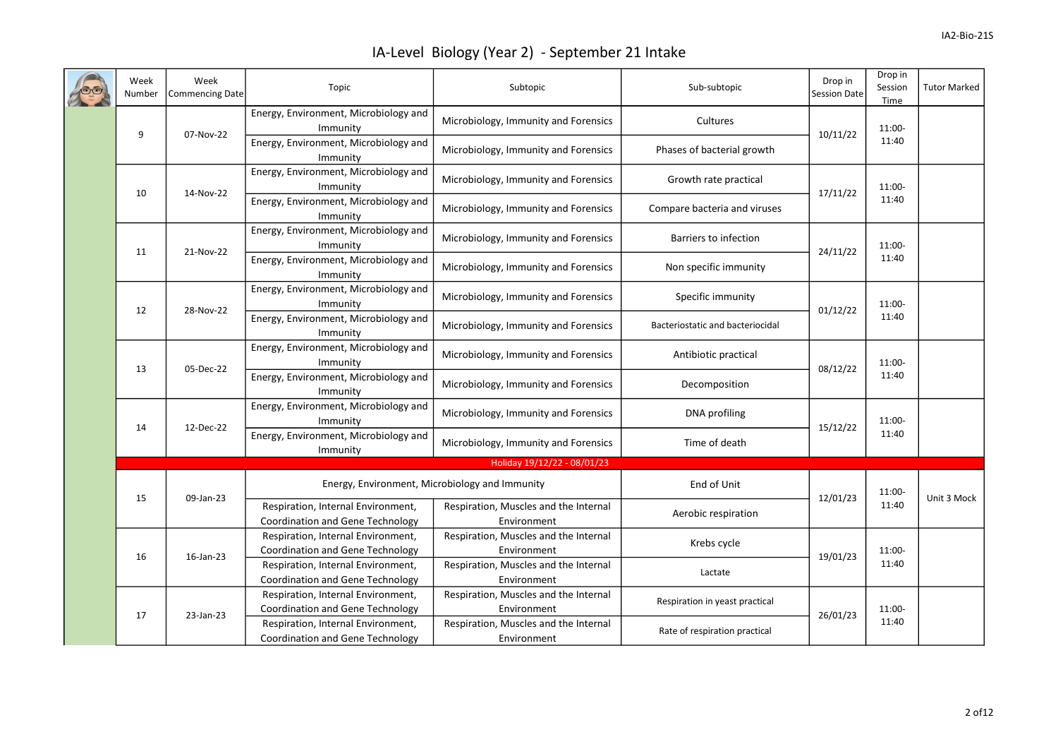|  | Week<br>Number  | Week<br>Commencing Date                           | Topic                                                                         | Subtopic                                             | Sub-subtopic                     | Drop in<br>Session Date | Drop in<br>Session<br>Time | <b>Tutor Marked</b> |
|--|-----------------|---------------------------------------------------|-------------------------------------------------------------------------------|------------------------------------------------------|----------------------------------|-------------------------|----------------------------|---------------------|
|  | 9<br>07-Nov-22  | Energy, Environment, Microbiology and<br>Immunity | Microbiology, Immunity and Forensics                                          | Cultures                                             | 10/11/22                         | 11:00-<br>11:40         |                            |                     |
|  |                 | Energy, Environment, Microbiology and<br>Immunity | Microbiology, Immunity and Forensics                                          | Phases of bacterial growth                           |                                  |                         |                            |                     |
|  | 10<br>14-Nov-22 | Energy, Environment, Microbiology and<br>Immunity | Microbiology, Immunity and Forensics                                          | Growth rate practical                                | 17/11/22                         | 11:00-                  |                            |                     |
|  |                 |                                                   | Energy, Environment, Microbiology and<br>Immunity                             | Microbiology, Immunity and Forensics                 | Compare bacteria and viruses     |                         | 11:40                      |                     |
|  | 11              | 21-Nov-22                                         | Energy, Environment, Microbiology and<br>Immunity                             | Microbiology, Immunity and Forensics                 | Barriers to infection            | 24/11/22                | 11:00-<br>11:40            |                     |
|  |                 |                                                   | Energy, Environment, Microbiology and<br>Immunity                             | Microbiology, Immunity and Forensics                 | Non specific immunity            |                         |                            |                     |
|  | 12<br>28-Nov-22 |                                                   | Energy, Environment, Microbiology and<br>Immunity                             | Microbiology, Immunity and Forensics                 | Specific immunity                | 01/12/22                | 11:00-<br>11:40            |                     |
|  |                 |                                                   | Energy, Environment, Microbiology and<br>Immunity                             | Microbiology, Immunity and Forensics                 | Bacteriostatic and bacteriocidal |                         |                            |                     |
|  | 13              | 05-Dec-22                                         | Energy, Environment, Microbiology and<br>Immunity                             | Microbiology, Immunity and Forensics                 | Antibiotic practical             | 08/12/22                | 11:00-<br>11:40            |                     |
|  |                 |                                                   | Energy, Environment, Microbiology and<br>Immunity                             | Microbiology, Immunity and Forensics                 | Decomposition                    |                         |                            |                     |
|  | 14              | 12-Dec-22                                         | Energy, Environment, Microbiology and<br>Immunity                             | Microbiology, Immunity and Forensics                 | DNA profiling                    | 15/12/22                | 11:00-<br>11:40            |                     |
|  |                 |                                                   | Energy, Environment, Microbiology and<br>Immunity                             | Microbiology, Immunity and Forensics                 | Time of death                    |                         |                            |                     |
|  |                 |                                                   |                                                                               | Holiday 19/12/22 - 08/01/23                          |                                  |                         |                            |                     |
|  |                 | 15<br>09-Jan-23                                   |                                                                               | Energy, Environment, Microbiology and Immunity       |                                  | 12/01/23                | 11:00-                     | Unit 3 Mock         |
|  |                 |                                                   | Respiration, Internal Environment,<br><b>Coordination and Gene Technology</b> | Respiration, Muscles and the Internal<br>Environment | Aerobic respiration              |                         | 11:40                      |                     |
|  | 16              | 16-Jan-23                                         | Respiration, Internal Environment,<br>Coordination and Gene Technology        | Respiration, Muscles and the Internal<br>Environment | Krebs cycle                      | 19/01/23                | 11:00-<br>11:40            |                     |
|  |                 |                                                   | Respiration, Internal Environment,<br>Coordination and Gene Technology        | Respiration, Muscles and the Internal<br>Environment | Lactate                          |                         |                            |                     |
|  | 17              | 23-Jan-23                                         | Respiration, Internal Environment,<br>Coordination and Gene Technology        | Respiration, Muscles and the Internal<br>Environment | Respiration in yeast practical   | 26/01/23                | 11:00-<br>11:40            |                     |
|  |                 |                                                   | Respiration, Internal Environment,<br><b>Coordination and Gene Technology</b> | Respiration, Muscles and the Internal<br>Environment | Rate of respiration practical    |                         |                            |                     |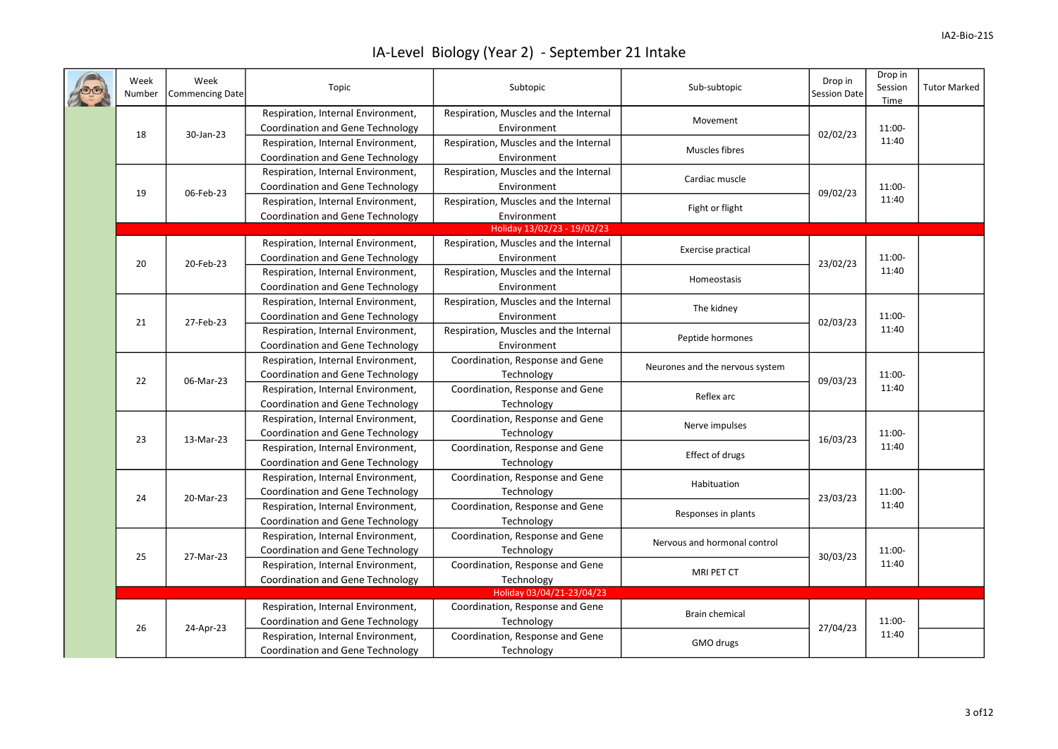|  | Week<br>Number  | Week<br><b>Commencing Date</b> | Topic                                                                         | Subtopic                                             | Sub-subtopic                    | Drop in<br><b>Session Date</b> | Drop in<br>Session<br>Time | <b>Tutor Marked</b> |
|--|-----------------|--------------------------------|-------------------------------------------------------------------------------|------------------------------------------------------|---------------------------------|--------------------------------|----------------------------|---------------------|
|  |                 |                                | Respiration, Internal Environment,<br>Coordination and Gene Technology        | Respiration, Muscles and the Internal<br>Environment | Movement                        | 02/02/23                       | 11:00-<br>11:40            |                     |
|  | 18<br>30-Jan-23 |                                | Respiration, Internal Environment,<br><b>Coordination and Gene Technology</b> | Respiration, Muscles and the Internal<br>Environment | Muscles fibres                  |                                |                            |                     |
|  |                 |                                | Respiration, Internal Environment,<br>Coordination and Gene Technology        | Respiration, Muscles and the Internal<br>Environment | Cardiac muscle                  | 09/02/23                       | 11:00-<br>11:40            |                     |
|  | 19              | 06-Feb-23                      | Respiration, Internal Environment,<br>Coordination and Gene Technology        | Respiration, Muscles and the Internal<br>Environment | Fight or flight                 |                                |                            |                     |
|  |                 |                                |                                                                               | Holiday 13/02/23 - 19/02/23                          |                                 |                                |                            |                     |
|  |                 |                                | Respiration, Internal Environment,<br>Coordination and Gene Technology        | Respiration, Muscles and the Internal<br>Environment | Exercise practical              | 23/02/23                       | 11:00-<br>11:40            |                     |
|  | 20              | 20-Feb-23                      | Respiration, Internal Environment,<br>Coordination and Gene Technology        | Respiration, Muscles and the Internal<br>Environment | Homeostasis                     |                                |                            |                     |
|  |                 | 27-Feb-23                      | Respiration, Internal Environment,<br><b>Coordination and Gene Technology</b> | Respiration, Muscles and the Internal<br>Environment | The kidney                      | 02/03/23                       | 11:00-<br>11:40            |                     |
|  | 21              |                                | Respiration, Internal Environment,<br>Coordination and Gene Technology        | Respiration, Muscles and the Internal<br>Environment | Peptide hormones                |                                |                            |                     |
|  |                 | 06-Mar-23                      | Respiration, Internal Environment,<br><b>Coordination and Gene Technology</b> | Coordination, Response and Gene<br>Technology        | Neurones and the nervous system | 09/03/23                       | 11:00-<br>11:40            |                     |
|  | 22              |                                | Respiration, Internal Environment,<br><b>Coordination and Gene Technology</b> | Coordination, Response and Gene<br>Technology        | Reflex arc                      |                                |                            |                     |
|  |                 | 13-Mar-23                      | Respiration, Internal Environment,<br><b>Coordination and Gene Technology</b> | Coordination, Response and Gene<br>Technology        | Nerve impulses                  | 16/03/23                       | 11:00-<br>11:40            |                     |
|  | 23              |                                | Respiration, Internal Environment,<br>Coordination and Gene Technology        | Coordination, Response and Gene<br>Technology        | Effect of drugs                 |                                |                            |                     |
|  |                 | 20-Mar-23                      | Respiration, Internal Environment,<br>Coordination and Gene Technology        | Coordination, Response and Gene<br>Technology        | Habituation                     | 23/03/23                       | 11:00-<br>11:40            |                     |
|  | 24              |                                | Respiration, Internal Environment,<br>Coordination and Gene Technology        | Coordination, Response and Gene<br>Technology        | Responses in plants             |                                |                            |                     |
|  | 25              | 27-Mar-23                      | Respiration, Internal Environment,<br>Coordination and Gene Technology        | Coordination, Response and Gene<br>Technology        | Nervous and hormonal control    | 30/03/23                       | 11:00-<br>11:40            |                     |
|  |                 |                                | Respiration, Internal Environment,<br><b>Coordination and Gene Technology</b> | Coordination, Response and Gene<br>Technology        | MRI PET CT                      |                                |                            |                     |
|  |                 |                                |                                                                               | Holiday 03/04/21-23/04/23                            |                                 |                                |                            |                     |
|  |                 |                                | Respiration, Internal Environment,                                            | Coordination, Response and Gene                      | <b>Brain chemical</b>           | 27/04/23                       | 11:00-                     |                     |
|  | 26              | 24-Apr-23                      | <b>Coordination and Gene Technology</b>                                       | Technology                                           |                                 |                                |                            |                     |
|  |                 |                                | Respiration, Internal Environment,<br><b>Coordination and Gene Technology</b> | Coordination, Response and Gene<br>Technology        | GMO drugs                       |                                | 11:40                      |                     |